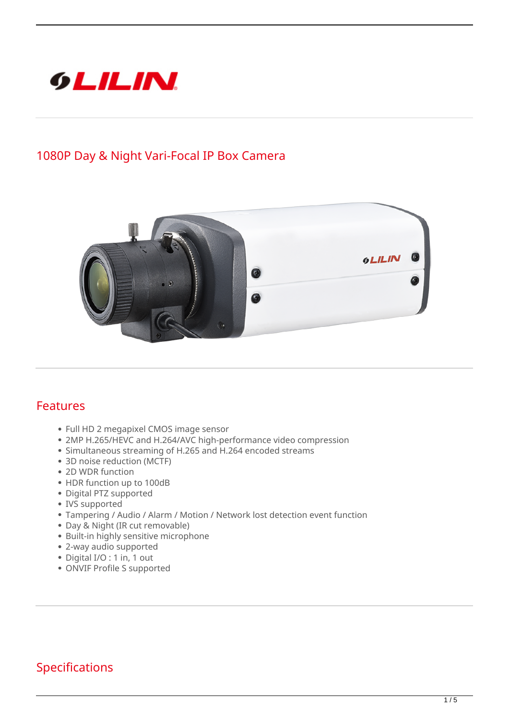

## **1080P Day & Night Vari-Focal IP Box Camera**



## **Features**

- Full HD 2 megapixel CMOS image sensor
- 2MP H.265/HEVC and H.264/AVC high-performance video compression
- Simultaneous streaming of H.265 and H.264 encoded streams
- 3D noise reduction (MCTF)
- 2D WDR function
- HDR function up to 100dB
- Digital PTZ supported
- IVS supported
- Tampering / Audio / Alarm / Motion / Network lost detection event function
- Day & Night (IR cut removable)
- Built-in highly sensitive microphone
- 2-way audio supported
- Digital I/O : 1 in, 1 out
- ONVIF Profile S supported

## **Specifications**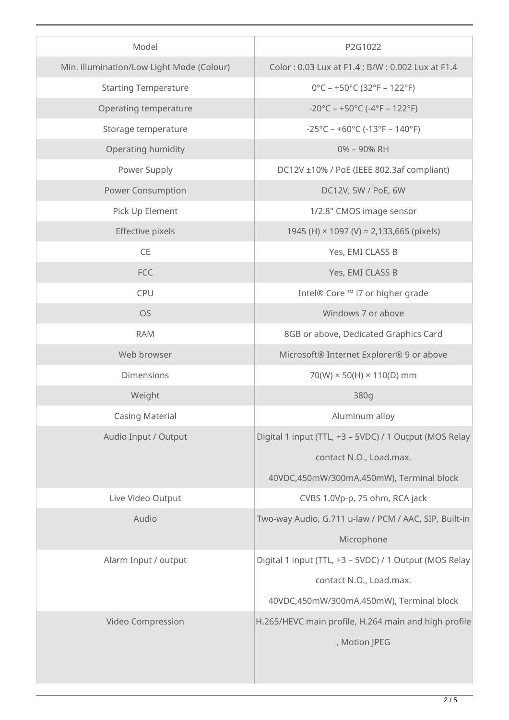| Model                                     | P2G1022                                                                  |
|-------------------------------------------|--------------------------------------------------------------------------|
| Min. illumination/Low Light Mode (Colour) | Color: 0.03 Lux at F1.4; B/W: 0.002 Lux at F1.4                          |
| <b>Starting Temperature</b>               | $0^{\circ}$ C - +50°C (32°F - 122°F)                                     |
| Operating temperature                     | $-20^{\circ}$ C – +50 $^{\circ}$ C (-4 $^{\circ}$ F – 122 $^{\circ}$ F)  |
| Storage temperature                       | $-25^{\circ}$ C – +60 $^{\circ}$ C (-13 $^{\circ}$ F – 140 $^{\circ}$ F) |
| Operating humidity                        | 0% - 90% RH                                                              |
| Power Supply                              | DC12V ±10% / PoE (IEEE 802.3af compliant)                                |
| <b>Power Consumption</b>                  | DC12V, 5W / PoE, 6W                                                      |
| Pick Up Element                           | 1/2.8" CMOS image sensor                                                 |
| Effective pixels                          | 1945 (H) × 1097 (V) = 2,133,665 (pixels)                                 |
| $\mathsf{CE}$                             | Yes, EMI CLASS B                                                         |
| FCC                                       | Yes, EMI CLASS B                                                         |
| CPU                                       | Intel® Core ™ i7 or higher grade                                         |
| <b>OS</b>                                 | Windows 7 or above                                                       |
| <b>RAM</b>                                | 8GB or above, Dedicated Graphics Card                                    |
| Web browser                               | Microsoft® Internet Explorer® 9 or above                                 |
| <b>Dimensions</b>                         | $70(W) \times 50(H) \times 110(D)$ mm                                    |
| Weight                                    | 380g                                                                     |
| <b>Casing Material</b>                    | Aluminum alloy                                                           |
| Audio Input / Output                      | Digital 1 input (TTL, +3 - 5VDC) / 1 Output (MOS Relay                   |
|                                           | contact N.O., Load.max.                                                  |
|                                           | 40VDC,450mW/300mA,450mW), Terminal block                                 |
| Live Video Output                         | CVBS 1.0Vp-p, 75 ohm, RCA jack                                           |
| Audio                                     | Two-way Audio, G.711 u-law / PCM / AAC, SIP, Built-in                    |
|                                           | Microphone                                                               |
| Alarm Input / output                      | Digital 1 input (TTL, +3 - 5VDC) / 1 Output (MOS Relay                   |
|                                           | contact N.O., Load.max.                                                  |
|                                           | 40VDC,450mW/300mA,450mW), Terminal block                                 |
| Video Compression                         | H.265/HEVC main profile, H.264 main and high profile                     |
|                                           | , Motion JPEG                                                            |
|                                           |                                                                          |
|                                           |                                                                          |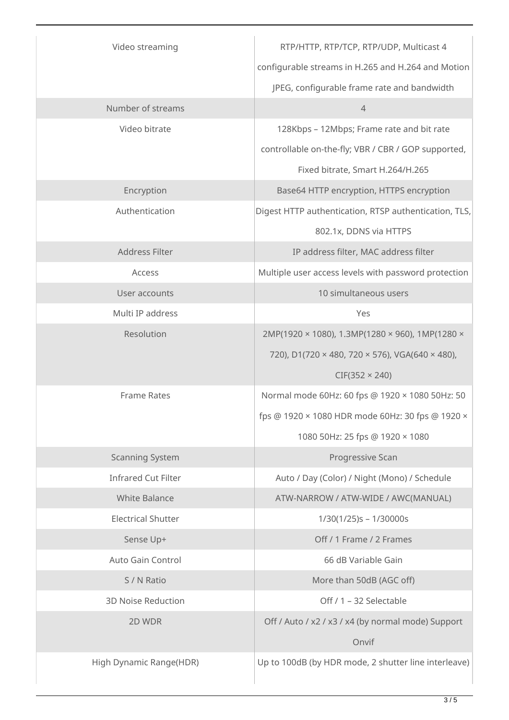| Video streaming            | RTP/HTTP, RTP/TCP, RTP/UDP, Multicast 4               |
|----------------------------|-------------------------------------------------------|
|                            | configurable streams in H.265 and H.264 and Motion    |
|                            | JPEG, configurable frame rate and bandwidth           |
| Number of streams          | $\overline{4}$                                        |
| Video bitrate              | 128Kbps - 12Mbps; Frame rate and bit rate             |
|                            | controllable on-the-fly; VBR / CBR / GOP supported,   |
|                            | Fixed bitrate, Smart H.264/H.265                      |
| Encryption                 | Base64 HTTP encryption, HTTPS encryption              |
| Authentication             | Digest HTTP authentication, RTSP authentication, TLS, |
|                            | 802.1x, DDNS via HTTPS                                |
| Address Filter             | IP address filter, MAC address filter                 |
| Access                     | Multiple user access levels with password protection  |
| User accounts              | 10 simultaneous users                                 |
| Multi IP address           | Yes                                                   |
| Resolution                 | 2MP(1920 × 1080), 1.3MP(1280 × 960), 1MP(1280 ×       |
|                            | 720), D1(720 × 480, 720 × 576), VGA(640 × 480),       |
|                            | $CIF(352 \times 240)$                                 |
| <b>Frame Rates</b>         | Normal mode 60Hz: 60 fps @ 1920 × 1080 50Hz: 50       |
|                            | fps @ 1920 × 1080 HDR mode 60Hz: 30 fps @ 1920 ×      |
|                            | 1080 50Hz: 25 fps @ 1920 × 1080                       |
| <b>Scanning System</b>     | Progressive Scan                                      |
| <b>Infrared Cut Filter</b> | Auto / Day (Color) / Night (Mono) / Schedule          |
| <b>White Balance</b>       | ATW-NARROW / ATW-WIDE / AWC(MANUAL)                   |
| <b>Electrical Shutter</b>  | 1/30(1/25)s - 1/30000s                                |
| Sense Up+                  | Off / 1 Frame / 2 Frames                              |
| Auto Gain Control          | 66 dB Variable Gain                                   |
| S / N Ratio                | More than 50dB (AGC off)                              |
| <b>3D Noise Reduction</b>  | Off / 1 - 32 Selectable                               |
| 2D WDR                     | Off / Auto / x2 / x3 / x4 (by normal mode) Support    |
|                            | Onvif                                                 |
| High Dynamic Range(HDR)    | Up to 100dB (by HDR mode, 2 shutter line interleave)  |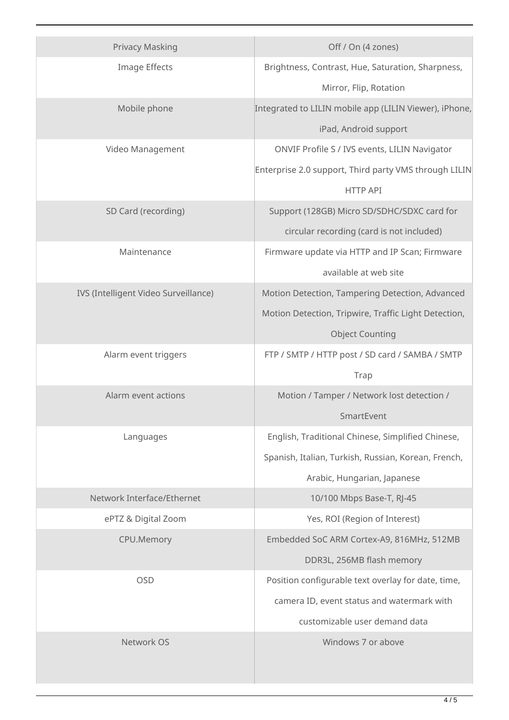| <b>Privacy Masking</b>               | Off / On (4 zones)                                     |
|--------------------------------------|--------------------------------------------------------|
| Image Effects                        | Brightness, Contrast, Hue, Saturation, Sharpness,      |
|                                      | Mirror, Flip, Rotation                                 |
| Mobile phone                         | Integrated to LILIN mobile app (LILIN Viewer), iPhone, |
|                                      | iPad, Android support                                  |
| Video Management                     | ONVIF Profile S / IVS events, LILIN Navigator          |
|                                      | Enterprise 2.0 support, Third party VMS through LILIN  |
|                                      | <b>HTTP API</b>                                        |
| SD Card (recording)                  | Support (128GB) Micro SD/SDHC/SDXC card for            |
|                                      | circular recording (card is not included)              |
| Maintenance                          | Firmware update via HTTP and IP Scan; Firmware         |
|                                      | available at web site                                  |
| IVS (Intelligent Video Surveillance) | Motion Detection, Tampering Detection, Advanced        |
|                                      | Motion Detection, Tripwire, Traffic Light Detection,   |
|                                      | <b>Object Counting</b>                                 |
| Alarm event triggers                 | FTP / SMTP / HTTP post / SD card / SAMBA / SMTP        |
|                                      | Trap                                                   |
| Alarm event actions                  | Motion / Tamper / Network lost detection /             |
|                                      | SmartEvent                                             |
| Languages                            | English, Traditional Chinese, Simplified Chinese,      |
|                                      | Spanish, Italian, Turkish, Russian, Korean, French,    |
|                                      | Arabic, Hungarian, Japanese                            |
| Network Interface/Ethernet           | 10/100 Mbps Base-T, RJ-45                              |
| ePTZ & Digital Zoom                  | Yes, ROI (Region of Interest)                          |
| CPU.Memory                           | Embedded SoC ARM Cortex-A9, 816MHz, 512MB              |
|                                      | DDR3L, 256MB flash memory                              |
| <b>OSD</b>                           | Position configurable text overlay for date, time,     |
|                                      | camera ID, event status and watermark with             |
|                                      | customizable user demand data                          |
| Network OS                           | Windows 7 or above                                     |
|                                      |                                                        |
|                                      |                                                        |